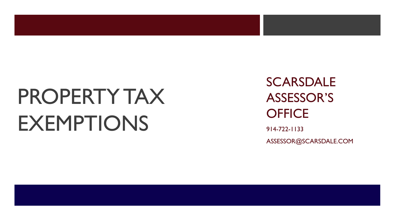# PROPERTY TAX **EXEMPTIONS**

**SCARSDALE** ASSESSOR'S **OFFICE** 

914 -722 -1133 ASSESSOR@SCARSDALE.COM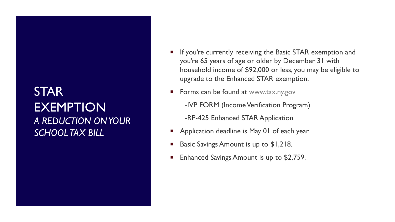#### STAR EXEMPTION *A REDUCTION ON YOUR SCHOOL TAX BILL*

- If you're currently receiving the Basic STAR exemption and you're 65 years of age or older by December 31 with household income of \$92,000 or less, you may be eligible to upgrade to the Enhanced STAR exemption.
- Forms can be found at [www.tax.ny.gov](http://www.tax.ny.gov/)

-IVP FORM (Income Verification Program)

-RP-425 Enhanced STAR Application

- Application deadline is May 01 of each year.
- Basic Savings Amount is up to \$1,218.
- Enhanced Savings Amount is up to \$2,759.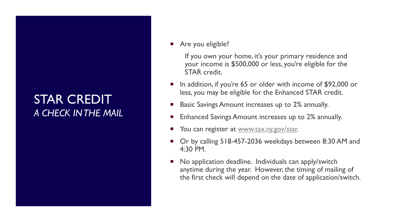#### STAR CREDIT *A CHECK IN THE MAIL*

Are you eligible?

If you own your home, it's your primary residence and your income is \$500,000 or less, you're eligible for the STAR credit.

- In addition, if you're 65 or older with income of \$92,000 or less, you may be eligible for the Enhanced STAR credit.
- Basic Savings Amount increases up to 2% annually.
- Enhanced Savings Amount increases up to 2% annually.
- You can register at [www.tax.ny.gov/star.](http://www.tax.ny.gov/star)
- Or by calling 518-457-2036 weekdays between 8:30 AM and 4:30 PM.
- No application deadline. Individuals can apply/switch anytime during the year. However, the timing of mailing of the first check will depend on the date of application/switch.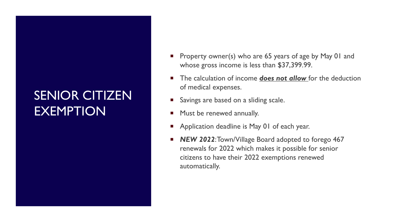## SENIOR CITIZEN EXEMPTION

- Property owner(s) who are 65 years of age by May 01 and whose gross income is less than \$37,399.99.
- The calculation of income **does not allow** for the deduction of medical expenses.
- Savings are based on a sliding scale.
- Must be renewed annually.
- Application deadline is May 01 of each year.
- **NEW 2022: Town/Village Board adopted to forego 467** renewals for 2022 which makes it possible for senior citizens to have their 2022 exemptions renewed automatically.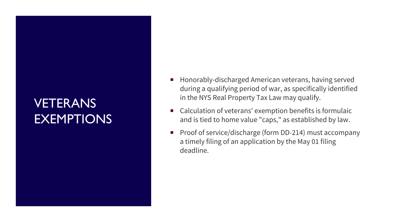## **VETERANS EXEMPTIONS**

- $\mathcal{L}_{\mathcal{A}}$ Honorably -discharged American veterans, having served during a qualifying period of war, as specifically identified in the NYS Real Property Tax Law may qualify.
- Calculation of veterans' exemption benefits is formulaic and is tied to home value "caps," as established by law .
- Proof of service/discharge (form DD-214) must accompany a timely filing of an application by the May 01 filing deadline.